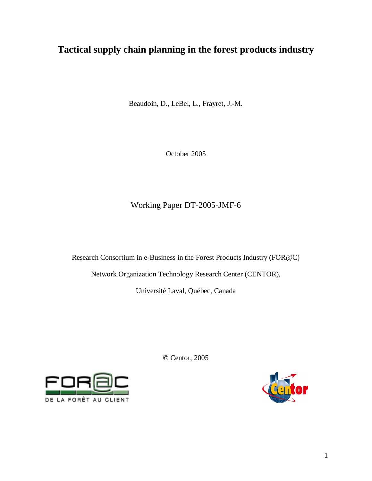# **Tactical supply chain planning in the forest products industry**

Beaudoin, D., LeBel, L., Frayret, J.-M.

October 2005

# Working Paper DT-2005-JMF-6

Research Consortium in e-Business in the Forest Products Industry (FOR@C)

Network Organization Technology Research Center (CENTOR),

Université Laval, Québec, Canada

© Centor, 2005



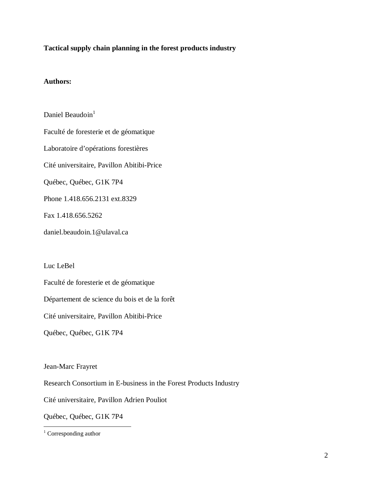## **Tactical supply chain planning in the forest products industry**

## **Authors:**

Daniel Beaudoin $<sup>1</sup>$ </sup> Faculté de foresterie et de géomatique Laboratoire d'opérations forestières Cité universitaire, Pavillon Abitibi-Price Québec, Québec, G1K 7P4 Phone 1.418.656.2131 ext.8329 Fax 1.418.656.5262 daniel.beaudoin.1@ulaval.ca

Luc LeBel

Faculté de foresterie et de géomatique

Département de science du bois et de la forêt

Cité universitaire, Pavillon Abitibi-Price

Québec, Québec, G1K 7P4

Jean-Marc Frayret

Research Consortium in E-business in the Forest Products Industry

Cité universitaire, Pavillon Adrien Pouliot

Québec, Québec, G1K 7P4

 1 Corresponding author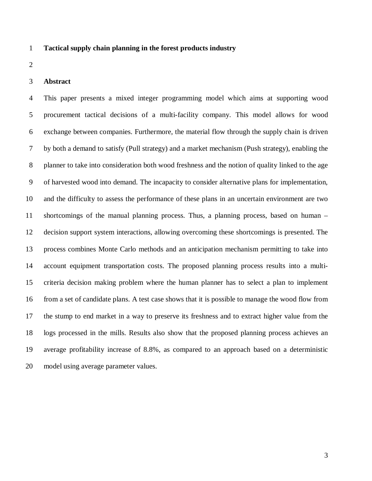## 1 **Tactical supply chain planning in the forest products industry**

2

#### 3 **Abstract**

4 This paper presents a mixed integer programming model which aims at supporting wood 5 procurement tactical decisions of a multi-facility company. This model allows for wood 6 exchange between companies. Furthermore, the material flow through the supply chain is driven 7 by both a demand to satisfy (Pull strategy) and a market mechanism (Push strategy), enabling the 8 planner to take into consideration both wood freshness and the notion of quality linked to the age 9 of harvested wood into demand. The incapacity to consider alternative plans for implementation, 10 and the difficulty to assess the performance of these plans in an uncertain environment are two 11 shortcomings of the manual planning process. Thus, a planning process, based on human – 12 decision support system interactions, allowing overcoming these shortcomings is presented. The 13 process combines Monte Carlo methods and an anticipation mechanism permitting to take into 14 account equipment transportation costs. The proposed planning process results into a multi-15 criteria decision making problem where the human planner has to select a plan to implement 16 from a set of candidate plans. A test case shows that it is possible to manage the wood flow from 17 the stump to end market in a way to preserve its freshness and to extract higher value from the 18 logs processed in the mills. Results also show that the proposed planning process achieves an 19 average profitability increase of 8.8%, as compared to an approach based on a deterministic 20 model using average parameter values.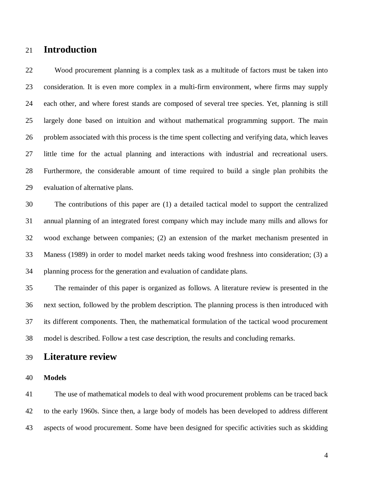# 21 **Introduction**

22 Wood procurement planning is a complex task as a multitude of factors must be taken into 23 consideration. It is even more complex in a multi-firm environment, where firms may supply 24 each other, and where forest stands are composed of several tree species. Yet, planning is still 25 largely done based on intuition and without mathematical programming support. The main 26 problem associated with this process is the time spent collecting and verifying data, which leaves 27 little time for the actual planning and interactions with industrial and recreational users. 28 Furthermore, the considerable amount of time required to build a single plan prohibits the 29 evaluation of alternative plans.

30 The contributions of this paper are (1) a detailed tactical model to support the centralized 31 annual planning of an integrated forest company which may include many mills and allows for 32 wood exchange between companies; (2) an extension of the market mechanism presented in 33 Maness (1989) in order to model market needs taking wood freshness into consideration; (3) a 34 planning process for the generation and evaluation of candidate plans.

35 The remainder of this paper is organized as follows. A literature review is presented in the 36 next section, followed by the problem description. The planning process is then introduced with 37 its different components. Then, the mathematical formulation of the tactical wood procurement 38 model is described. Follow a test case description, the results and concluding remarks.

# 39 **Literature review**

### 40 **Models**

41 The use of mathematical models to deal with wood procurement problems can be traced back 42 to the early 1960s. Since then, a large body of models has been developed to address different 43 aspects of wood procurement. Some have been designed for specific activities such as skidding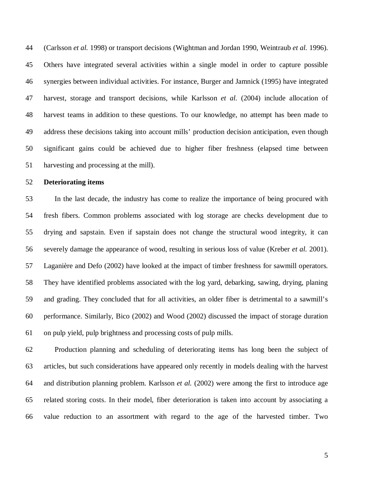44 (Carlsson *et al.* 1998) or transport decisions (Wightman and Jordan 1990, Weintraub *et al.* 1996). 45 Others have integrated several activities within a single model in order to capture possible 46 synergies between individual activities. For instance, Burger and Jamnick (1995) have integrated 47 harvest, storage and transport decisions, while Karlsson *et al.* (2004) include allocation of 48 harvest teams in addition to these questions. To our knowledge, no attempt has been made to 49 address these decisions taking into account mills' production decision anticipation, even though 50 significant gains could be achieved due to higher fiber freshness (elapsed time between 51 harvesting and processing at the mill).

## 52 **Deteriorating items**

53 In the last decade, the industry has come to realize the importance of being procured with 54 fresh fibers. Common problems associated with log storage are checks development due to 55 drying and sapstain. Even if sapstain does not change the structural wood integrity, it can 56 severely damage the appearance of wood, resulting in serious loss of value (Kreber *et al.* 2001). 57 Laganière and Defo (2002) have looked at the impact of timber freshness for sawmill operators. 58 They have identified problems associated with the log yard, debarking, sawing, drying, planing 59 and grading. They concluded that for all activities, an older fiber is detrimental to a sawmill's 60 performance. Similarly, Bico (2002) and Wood (2002) discussed the impact of storage duration 61 on pulp yield, pulp brightness and processing costs of pulp mills.

62 Production planning and scheduling of deteriorating items has long been the subject of 63 articles, but such considerations have appeared only recently in models dealing with the harvest 64 and distribution planning problem. Karlsson *et al.* (2002) were among the first to introduce age 65 related storing costs. In their model, fiber deterioration is taken into account by associating a 66 value reduction to an assortment with regard to the age of the harvested timber. Two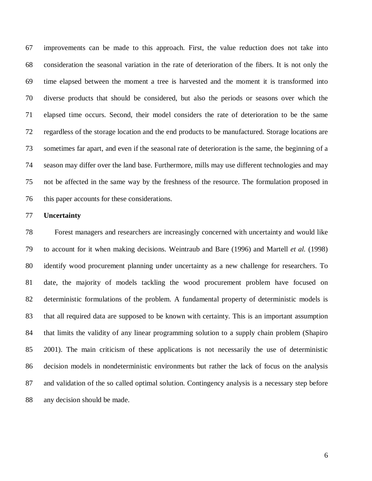67 improvements can be made to this approach. First, the value reduction does not take into 68 consideration the seasonal variation in the rate of deterioration of the fibers. It is not only the 69 time elapsed between the moment a tree is harvested and the moment it is transformed into 70 diverse products that should be considered, but also the periods or seasons over which the 71 elapsed time occurs. Second, their model considers the rate of deterioration to be the same 72 regardless of the storage location and the end products to be manufactured. Storage locations are 73 sometimes far apart, and even if the seasonal rate of deterioration is the same, the beginning of a 74 season may differ over the land base. Furthermore, mills may use different technologies and may 75 not be affected in the same way by the freshness of the resource. The formulation proposed in 76 this paper accounts for these considerations.

#### 77 **Uncertainty**

78 Forest managers and researchers are increasingly concerned with uncertainty and would like 79 to account for it when making decisions. Weintraub and Bare (1996) and Martell *et al.* (1998) 80 identify wood procurement planning under uncertainty as a new challenge for researchers. To 81 date, the majority of models tackling the wood procurement problem have focused on 82 deterministic formulations of the problem. A fundamental property of deterministic models is 83 that all required data are supposed to be known with certainty. This is an important assumption 84 that limits the validity of any linear programming solution to a supply chain problem (Shapiro 85 2001). The main criticism of these applications is not necessarily the use of deterministic 86 decision models in nondeterministic environments but rather the lack of focus on the analysis 87 and validation of the so called optimal solution. Contingency analysis is a necessary step before 88 any decision should be made.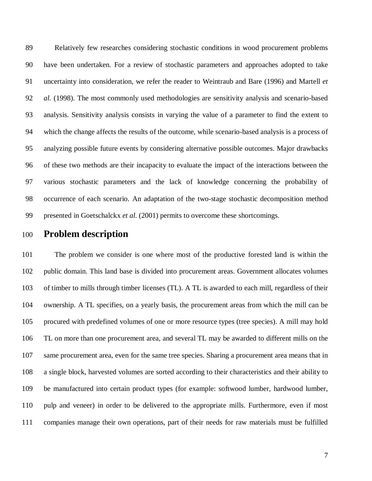89 Relatively few researches considering stochastic conditions in wood procurement problems 90 have been undertaken. For a review of stochastic parameters and approaches adopted to take 91 uncertainty into consideration, we refer the reader to Weintraub and Bare (1996) and Martell *et*  92 *al.* (1998). The most commonly used methodologies are sensitivity analysis and scenario-based 93 analysis. Sensitivity analysis consists in varying the value of a parameter to find the extent to 94 which the change affects the results of the outcome, while scenario-based analysis is a process of 95 analyzing possible future events by considering alternative possible outcomes. Major drawbacks 96 of these two methods are their incapacity to evaluate the impact of the interactions between the 97 various stochastic parameters and the lack of knowledge concerning the probability of 98 occurrence of each scenario. An adaptation of the two-stage stochastic decomposition method 99 presented in Goetschalckx *et al.* (2001) permits to overcome these shortcomings.

# 100 **Problem description**

101 The problem we consider is one where most of the productive forested land is within the 102 public domain. This land base is divided into procurement areas. Government allocates volumes 103 of timber to mills through timber licenses (TL). A TL is awarded to each mill, regardless of their 104 ownership. A TL specifies, on a yearly basis, the procurement areas from which the mill can be 105 procured with predefined volumes of one or more resource types (tree species). A mill may hold 106 TL on more than one procurement area, and several TL may be awarded to different mills on the 107 same procurement area, even for the same tree species. Sharing a procurement area means that in 108 a single block, harvested volumes are sorted according to their characteristics and their ability to 109 be manufactured into certain product types (for example: softwood lumber, hardwood lumber, 110 pulp and veneer) in order to be delivered to the appropriate mills. Furthermore, even if most 111 companies manage their own operations, part of their needs for raw materials must be fulfilled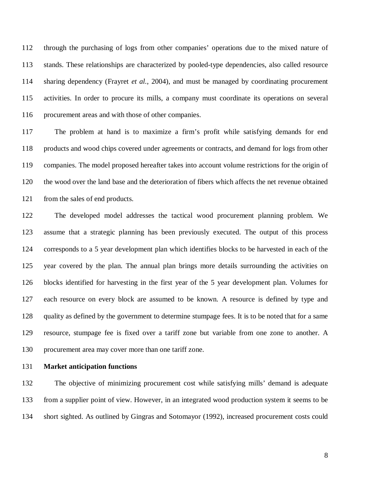112 through the purchasing of logs from other companies' operations due to the mixed nature of 113 stands. These relationships are characterized by pooled-type dependencies, also called resource 114 sharing dependency (Frayret *et al.*, 2004), and must be managed by coordinating procurement 115 activities. In order to procure its mills, a company must coordinate its operations on several 116 procurement areas and with those of other companies.

117 The problem at hand is to maximize a firm's profit while satisfying demands for end 118 products and wood chips covered under agreements or contracts, and demand for logs from other 119 companies. The model proposed hereafter takes into account volume restrictions for the origin of 120 the wood over the land base and the deterioration of fibers which affects the net revenue obtained 121 from the sales of end products.

122 The developed model addresses the tactical wood procurement planning problem. We 123 assume that a strategic planning has been previously executed. The output of this process 124 corresponds to a 5 year development plan which identifies blocks to be harvested in each of the 125 year covered by the plan. The annual plan brings more details surrounding the activities on 126 blocks identified for harvesting in the first year of the 5 year development plan. Volumes for 127 each resource on every block are assumed to be known. A resource is defined by type and 128 quality as defined by the government to determine stumpage fees. It is to be noted that for a same 129 resource, stumpage fee is fixed over a tariff zone but variable from one zone to another. A 130 procurement area may cover more than one tariff zone.

131 **Market anticipation functions** 

132 The objective of minimizing procurement cost while satisfying mills' demand is adequate 133 from a supplier point of view. However, in an integrated wood production system it seems to be 134 short sighted. As outlined by Gingras and Sotomayor (1992), increased procurement costs could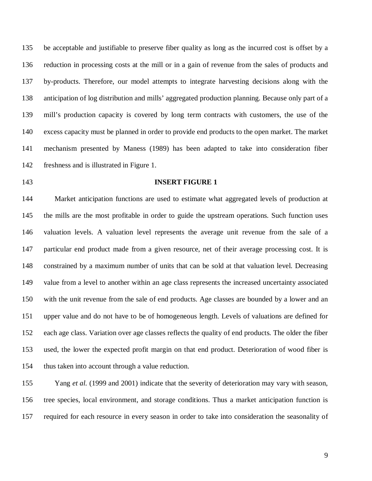135 be acceptable and justifiable to preserve fiber quality as long as the incurred cost is offset by a 136 reduction in processing costs at the mill or in a gain of revenue from the sales of products and 137 by-products. Therefore, our model attempts to integrate harvesting decisions along with the 138 anticipation of log distribution and mills' aggregated production planning. Because only part of a 139 mill's production capacity is covered by long term contracts with customers, the use of the 140 excess capacity must be planned in order to provide end products to the open market. The market 141 mechanism presented by Maness (1989) has been adapted to take into consideration fiber 142 freshness and is illustrated in Figure 1.

#### 143 **INSERT FIGURE 1**

144 Market anticipation functions are used to estimate what aggregated levels of production at 145 the mills are the most profitable in order to guide the upstream operations. Such function uses 146 valuation levels. A valuation level represents the average unit revenue from the sale of a 147 particular end product made from a given resource, net of their average processing cost. It is 148 constrained by a maximum number of units that can be sold at that valuation level. Decreasing 149 value from a level to another within an age class represents the increased uncertainty associated 150 with the unit revenue from the sale of end products. Age classes are bounded by a lower and an 151 upper value and do not have to be of homogeneous length. Levels of valuations are defined for 152 each age class. Variation over age classes reflects the quality of end products. The older the fiber 153 used, the lower the expected profit margin on that end product. Deterioration of wood fiber is 154 thus taken into account through a value reduction.

155 Yang *et al.* (1999 and 2001) indicate that the severity of deterioration may vary with season, 156 tree species, local environment, and storage conditions. Thus a market anticipation function is 157 required for each resource in every season in order to take into consideration the seasonality of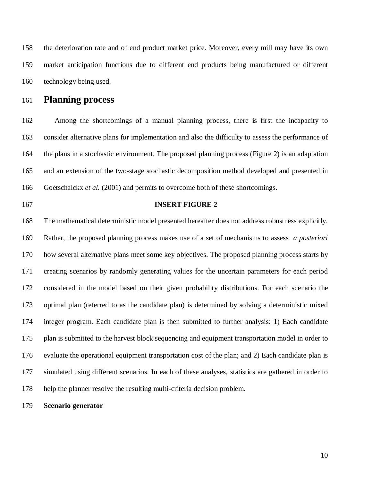158 the deterioration rate and of end product market price. Moreover, every mill may have its own 159 market anticipation functions due to different end products being manufactured or different 160 technology being used.

# 161 **Planning process**

162 Among the shortcomings of a manual planning process, there is first the incapacity to 163 consider alternative plans for implementation and also the difficulty to assess the performance of 164 the plans in a stochastic environment. The proposed planning process (Figure 2) is an adaptation 165 and an extension of the two-stage stochastic decomposition method developed and presented in 166 Goetschalckx *et al.* (2001) and permits to overcome both of these shortcomings.

### 167 **INSERT FIGURE 2**

168 The mathematical deterministic model presented hereafter does not address robustness explicitly. 169 Rather, the proposed planning process makes use of a set of mechanisms to assess *a posteriori* 170 how several alternative plans meet some key objectives. The proposed planning process starts by 171 creating scenarios by randomly generating values for the uncertain parameters for each period 172 considered in the model based on their given probability distributions. For each scenario the 173 optimal plan (referred to as the candidate plan) is determined by solving a deterministic mixed 174 integer program. Each candidate plan is then submitted to further analysis: 1) Each candidate 175 plan is submitted to the harvest block sequencing and equipment transportation model in order to 176 evaluate the operational equipment transportation cost of the plan; and 2) Each candidate plan is 177 simulated using different scenarios. In each of these analyses, statistics are gathered in order to 178 help the planner resolve the resulting multi-criteria decision problem.

179 **Scenario generator**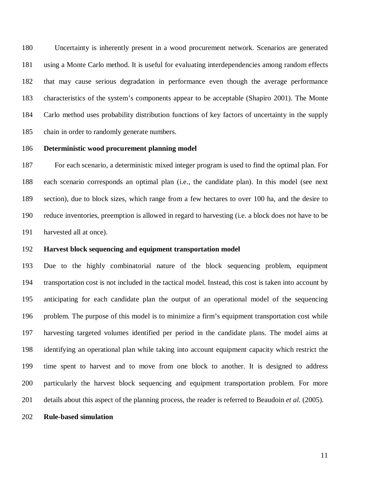180 Uncertainty is inherently present in a wood procurement network. Scenarios are generated 181 using a Monte Carlo method. It is useful for evaluating interdependencies among random effects 182 that may cause serious degradation in performance even though the average performance 183 characteristics of the system's components appear to be acceptable (Shapiro 2001). The Monte 184 Carlo method uses probability distribution functions of key factors of uncertainty in the supply 185 chain in order to randomly generate numbers.

## 186 **Deterministic wood procurement planning model**

187 For each scenario, a deterministic mixed integer program is used to find the optimal plan. For 188 each scenario corresponds an optimal plan (i.e., the candidate plan). In this model (see next 189 section), due to block sizes, which range from a few hectares to over 100 ha, and the desire to 190 reduce inventories, preemption is allowed in regard to harvesting (i.e. a block does not have to be 191 harvested all at once).

#### 192 **Harvest block sequencing and equipment transportation model**

193 Due to the highly combinatorial nature of the block sequencing problem, equipment 194 transportation cost is not included in the tactical model. Instead, this cost is taken into account by 195 anticipating for each candidate plan the output of an operational model of the sequencing 196 problem. The purpose of this model is to minimize a firm's equipment transportation cost while 197 harvesting targeted volumes identified per period in the candidate plans. The model aims at 198 identifying an operational plan while taking into account equipment capacity which restrict the 199 time spent to harvest and to move from one block to another. It is designed to address 200 particularly the harvest block sequencing and equipment transportation problem. For more 201 details about this aspect of the planning process, the reader is referred to Beaudoin *et al.* (2005).

#### 202 **Rule-based simulation**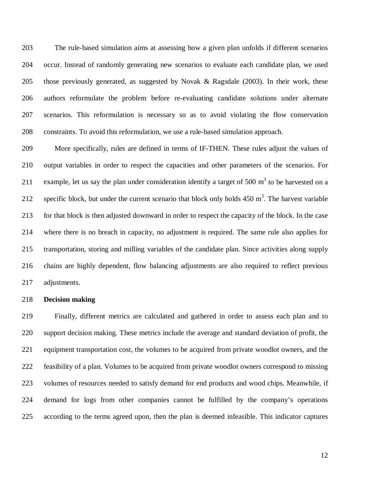203 The rule-based simulation aims at assessing how a given plan unfolds if different scenarios 204 occur. Instead of randomly generating new scenarios to evaluate each candidate plan, we used 205 those previously generated, as suggested by Novak & Ragsdale (2003). In their work, these 206 authors reformulate the problem before re-evaluating candidate solutions under alternate 207 scenarios. This reformulation is necessary so as to avoid violating the flow conservation 208 constraints. To avoid this reformulation, we use a rule-based simulation approach.

209 More specifically, rules are defined in terms of IF-THEN. These rules adjust the values of 210 output variables in order to respect the capacities and other parameters of the scenarios. For 211 example, let us say the plan under consideration identify a target of 500  $m<sup>3</sup>$  to be harvested on a 212 specific block, but under the current scenario that block only holds  $450 \text{ m}^3$ . The harvest variable 213 for that block is then adjusted downward in order to respect the capacity of the block. In the case 214 where there is no breach in capacity, no adjustment is required. The same rule also applies for 215 transportation, storing and milling variables of the candidate plan. Since activities along supply 216 chains are highly dependent, flow balancing adjustments are also required to reflect previous 217 adjustments.

## 218 **Decision making**

219 Finally, different metrics are calculated and gathered in order to assess each plan and to 220 support decision making. These metrics include the average and standard deviation of profit, the 221 equipment transportation cost, the volumes to be acquired from private woodlot owners, and the 222 feasibility of a plan. Volumes to be acquired from private woodlot owners correspond to missing 223 volumes of resources needed to satisfy demand for end products and wood chips. Meanwhile, if 224 demand for logs from other companies cannot be fulfilled by the company's operations 225 according to the terms agreed upon, then the plan is deemed infeasible. This indicator captures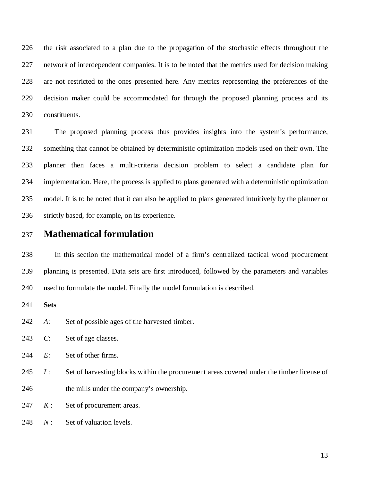226 the risk associated to a plan due to the propagation of the stochastic effects throughout the 227 network of interdependent companies. It is to be noted that the metrics used for decision making 228 are not restricted to the ones presented here. Any metrics representing the preferences of the 229 decision maker could be accommodated for through the proposed planning process and its 230 constituents.

231 The proposed planning process thus provides insights into the system's performance, 232 something that cannot be obtained by deterministic optimization models used on their own. The 233 planner then faces a multi-criteria decision problem to select a candidate plan for 234 implementation. Here, the process is applied to plans generated with a deterministic optimization 235 model. It is to be noted that it can also be applied to plans generated intuitively by the planner or 236 strictly based, for example, on its experience.

# 237 **Mathematical formulation**

238 In this section the mathematical model of a firm's centralized tactical wood procurement 239 planning is presented. Data sets are first introduced, followed by the parameters and variables 240 used to formulate the model. Finally the model formulation is described.

241 **Sets** 

242 *A*: Set of possible ages of the harvested timber.

243 *C*: Set of age classes.

244 *E*: Set of other firms.

245 *I* : Set of harvesting blocks within the procurement areas covered under the timber license of 246 the mills under the company's ownership.

247 *K* : Set of procurement areas.

248 *N*: Set of valuation levels.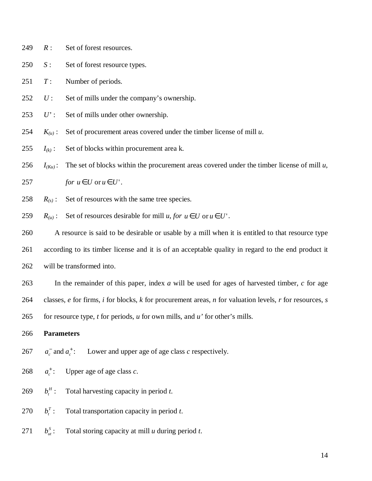249 *R* : Set of forest resources.

250 *S*: Set of forest resource types.

251 *T* : Number of periods.

- 252 *U* : Set of mills under the company's ownership.
- 253 *U'* : Set of mills under other ownership.
- 254  $K_{(u)}$ : Set of procurement areas covered under the timber license of mill *u*.
- 255  $I_{(k)}$ : Set of blocks within procurement area k.
- 256  $I_{(Ku)}$ : The set of blocks within the procurement areas covered under the timber license of mill *u*,

257 *for*  $u \in U$  or  $u \in U'$ .

258 
$$
R_{(s)}
$$
: Set of resources with the same tree species.

259 
$$
R_{(u)}
$$
: Set of resources desirable for mill *u*, for  $u \in U$  or  $u \in U'$ .

260 A resource is said to be desirable or usable by a mill when it is entitled to that resource type 261 according to its timber license and it is of an acceptable quality in regard to the end product it 262 will be transformed into.

263 In the remainder of this paper, index *a* will be used for ages of harvested timber, *c* for age 264 classes, *e* for firms, *i* for blocks, *k* for procurement areas, *n* for valuation levels, *r* for resources, *s* 265 for resource type, *t* for periods, *u* for own mills, and *u'* for other's mills.

## 266 **Parameters**

 $a_c^-$  and  $a_c^+$ : 267  $a_c^{\dagger}$  and  $a_c^{\dagger}$ : Lower and upper age of age class *c* respectively.

 $a^{\dagger}$ : 268  $a_c^+$ : Upper age of age class *c*.

- $b^H$ : 269 *b*<sup>*H*</sup>: Total harvesting capacity in period *t*.
- $b_i^T$ : 270 *: Total transportation capacity in period <i>t*.
- $b_{\mu}^S$ : 271 *b*<sub>*x*</sub>: Total storing capacity at mill *u* during period *t*.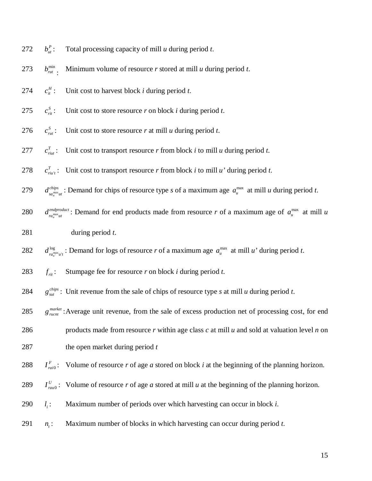$b_{\scriptscriptstyle rut}^{\scriptscriptstyle\min}$  : 273  $b_{\text{out}}^{\text{min}}$ . Minimum volume of resource *r* stored at mill *u* during period *t*.  $c_{ii}^H$ : 274  $c_{ii}^H$ : Unit cost to harvest block *i* during period *t*.  $c_{\scriptscriptstyle\it{rit}}^{\scriptscriptstyle S}$ : 275  $c_{\infty}^s$ : Unit cost to store resource *r* on block *i* during period *t*.  $c_{\mu\nu}^s$ : 276  $c_{\text{out}}^s$ : Unit cost to store resource *r* at mill *u* during period *t*.  $c_{\mathit{init}}^T$ : 277  $c_{\text{rint}}^T$ : Unit cost to transport resource *r* from block *i* to mill *u* during period *t*. 278  $c_{\textit{riu't}}^T$ : Unit cost to transport resource *r* from block *i* to mill *u'* during period *t*. *chips* 279 *d*<sup>*chips*</sup><sub>*sa<sub>u</sub>*<sup>max</sup><sub>*ut*</sub></sub>: Demand for chips of resource type *s* of a maximum age  $a_u^{\text{max}}$  at mill *u* during period *t*. *endproduct* 280 *d*<sup>*endproduct*: Demand for end products made from resource *r* of a maximum age of  $a_u^{\max}$  at mill *u*</sup> 281 during period *t*. 282  $d_{ra_u^{\text{max}}u'_u}^{\log}$ : Demand for logs of resource *r* of a maximum age  $a_u^{\text{max}}$  at mill *u'* during period *t*. 283  $f_{\text{vir}}$ : Stumpage fee for resource *r* on block *i* during period *t*. 284 *g*<sup>*chips*</sup>: Unit revenue from the sale of chips of resource type *s* at mill *u* during period *t*. 285  $g_{\text{ruct}}^{\text{market}}$ : Average unit revenue, from the sale of excess production net of processing cost, for end 286 products made from resource *r* within age class *c* at mill *u* and sold at valuation level *n* on 287 the open market during period *t*  288  $I_{\text{ratio}}^F$ : Volume of resource *r* of age *a* stored on block *i* at the beginning of the planning horizon. 289  $I_{\text{rau0}}^U$ : Volume of resource *r* of age *a* stored at mill *u* at the beginning of the planning horizon. *<sup>i</sup>* 290 *l* : Maximum number of periods over which harvesting can occur in block *i*. *<sup>t</sup>* 291 *n* : Maximum number of blocks in which harvesting can occur during period *t*.

 $b_{u}^{P}$ :

272 *b*<sub>*ut*</sub>: Total processing capacity of mill *u* during period *t*.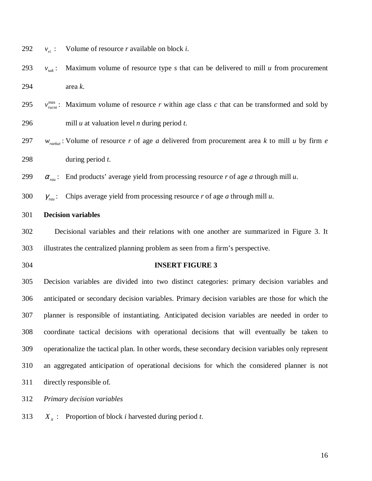292  $v_{ri}:$  Volume of resource *r* available on block *i*.

293  $v_{mk}$ : Maximum volume of resource type *s* that can be delivered to mill *u* from procurement 294 area *k*.

295  $v_{\text{mean}}^{\text{max}}$ : Maximum volume of resource *r* within age class *c* that can be transformed and sold by 296 mill *u* at valuation level *n* during period *t*.

297  $w_{\text{reheat}}$ : Volume of resource *r* of age *a* delivered from procurement area *k* to mill *u* by firm *e* 298 during period *t*.

299  $\alpha_{\text{run}}$ : End products' average yield from processing resource *r* of age *a* through mill *u*.

300  $\gamma_{\text{rau}}$ : Chips average yield from processing resource *r* of age *a* through mill *u*.

## 301 **Decision variables**

302 Decisional variables and their relations with one another are summarized in Figure 3. It 303 illustrates the centralized planning problem as seen from a firm's perspective.

#### 304 **INSERT FIGURE 3**

305 Decision variables are divided into two distinct categories: primary decision variables and 306 anticipated or secondary decision variables. Primary decision variables are those for which the 307 planner is responsible of instantiating. Anticipated decision variables are needed in order to 308 coordinate tactical decisions with operational decisions that will eventually be taken to 309 operationalize the tactical plan. In other words, these secondary decision variables only represent 310 an aggregated anticipation of operational decisions for which the considered planner is not 311 directly responsible of.

312 *Primary decision variables* 

313  $X_{it}$ : Proportion of block *i* harvested during period *t*.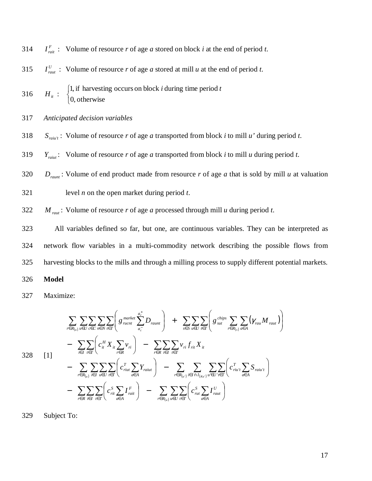314 *I*<sub>*rait*</sub> : Volume of resource *r* of age *a* stored on block *i* at the end of period *t*.

315 *I*<sub>*raut*</sub> : Volume of resource *r* of age *a* stored at mill *u* at the end of period *t*.

- $H_{_{it}}$  :  $\overline{\mathcal{L}}$ ⇃  $\left\lceil \right\rceil$ 0, otherwise 1, if harvesting occurs on block *i* during time period *t* 316
- 317 *Anticipated decision variables*
- 318  $S_{\text{raiu't}}$ : Volume of resource *r* of age *a* transported from block *i* to mill *u'* during period *t*.
- 319  $Y_{\text{raint}}$ : Volume of resource *r* of age *a* transported from block *i* to mill *u* during period *t*.
- 320  $D_{r^2}$ : Volume of end product made from resource *r* of age *a* that is sold by mill *u* at valuation
- 321 level *n* on the open market during period *t*.

322  $M_{\text{raut}}$ : Volume of resource *r* of age *a* processed through mill *u* during period *t*.

323 All variables defined so far, but one, are continuous variables. They can be interpreted as 324 network flow variables in a multi-commodity network describing the possible flows from 325 harvesting blocks to the mills and through a milling process to supply different potential markets.

#### 326 **Model**

327 Maximize:

$$
\sum_{r \in R_{(u)}} \sum_{u \in U} \sum_{c \in C} \sum_{n \in N} \sum_{t \in T} \left( g_{\text{nuct}}^{\text{market}} \sum_{a_c^-}^{a_c} D_{\text{r} \text{a} \text{u} \text{r}} \right) + \sum_{s \in S} \sum_{u \in U} \sum_{t \in T} \left( g_{\text{sub}}^{\text{chips}} \sum_{r \in R_{(s)}} \sum_{a \in A} (\gamma_{\text{r} \text{u} \text{m}} M_{\text{r} \text{a} \text{u}}) \right) \n- \sum_{i \in I} \sum_{t \in T} \left( c_{it}^H X_{it} \sum_{r \in R} v_{ri} \right) - \sum_{r \in R} \sum_{i \in I} \sum_{r \in T} v_{ri} f_{\text{r} \text{u}^{\text{r}} X_{it} \n- \sum_{r \in R_{(u)}} \sum_{i \in I} \sum_{u \in U} \sum_{t \in T} \left( c_{\text{r} \text{u} \text{u} \text{m}}^T \sum_{a \in A} Y_{\text{r} \text{a} \text{u} \text{u}} \right) - \sum_{r \in R_{(u)}} \sum_{i \in I \cap I_{(K_{u})}} \sum_{u \in U} \sum_{t \in T} \left( c_{\text{r} \text{u}^{\text{r}} \text{m}}^T \sum_{a \in A} S_{\text{r} \text{a} \text{u}^{\text{r}} t} \right) \n- \sum_{r \in R} \sum_{i \in I} \sum_{t \in T} \left( c_{\text{r} \text{u} \text{m}}^S \sum_{a \in A} I_{\text{r} \text{a} \text{u}}^F \right) - \sum_{r \in R_{(u)}} \sum_{u \in U} \sum_{t \in T} \left( c_{\text{r} \text{u} \text{m}}^S \sum_{a \in A} I_{\text{r} \text{a} \text{u}}^U \right)
$$

329 Subject To: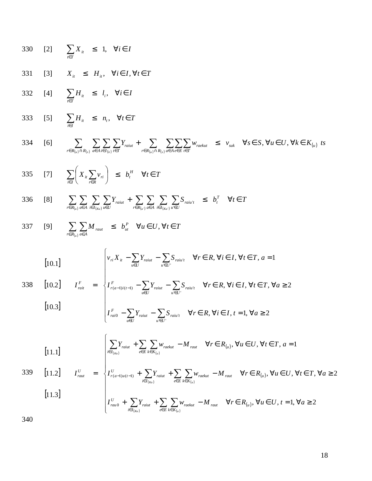330 [2] 
$$
\sum_{i \in T} X_{ii} \leq 1, \forall i \in I
$$
  
\n331 [3]  $X_{ii} \leq H_{ii}, \forall i \in I, \forall t \in T$   
\n332 [4]  $\sum_{i \in T} H_{ii} \leq l_i, \forall i \in I$   
\n333 [5]  $\sum_{i \in I} H_{ii} \leq n_i, \forall t \in T$   
\n334 [6]  $\sum_{r \in R_{(u)} \cap R_{(x)}} \sum_{a \in A} \sum_{i \in I} \sum_{r \text{min}} Y_{raint} + \sum_{r \in R_{(u)} \cap R_{(x)}} \sum_{a \in A} \sum_{e \in E} \sum_{i \in T} w_{raekut} \leq v_{sub} \forall s \in S, \forall u \in U, \forall k \in K_{(u)}$ ts  
\n335 [7]  $\sum_{i \in I} \left( X_{ii} \sum_{r \in R} v_{ri} \right) \leq b_i^H \forall t \in T$ 

336 [8] 
$$
\sum_{r \in R_{(u)}} \sum_{a \in A} \sum_{i \in I_{(ku)}} \sum_{u \in U} Y_{raiut} + \sum_{r \in R_{(u)}} \sum_{a \in A} \sum_{i \in I_{(ku)}} \sum_{u \in U} S_{raiu't} \leq b_t^T \quad \forall t \in T
$$

337 [9] 
$$
\sum_{r \in R_{(u)}} \sum_{a \in A} M_{raut} \leq b_{ut}^P \quad \forall u \in U, \forall t \in T
$$

 $\overline{\mathfrak{l}}$ 

 $u \in U$ 

[10.1] 
$$
\left[v_{ri}X_{it} - \sum_{u \in U} Y_{raitut} - \sum_{u' \in U'} S_{raitut} \quad \forall r \in R, \forall i \in I, \forall t \in T, a = 1\right\}
$$

338 [10.2] 
$$
I_{\text{rait}}^F = \begin{cases} I_{\text{r(a-1)}(t-1)}^F - \sum_{u \in U} Y_{\text{raint}} - \sum_{u' \in U'} S_{\text{raint}} & \forall r \in R, \forall i \in I, \forall t \in T, \forall a \ge 2\\ I_{\text{raid}}^F - \sum_{u \in U} Y_{\text{raint}} - \sum_{u' \in U'} S_{\text{raint}} & \forall r \in R, \forall i \in I, t = 1, \forall a \ge 2 \end{cases}
$$

 $u \in U$ 

$$
\left[11.1\right] \qquad \qquad \left[\sum_{i\in I_{(Ku)}} Y_{raiut} + \sum_{e\in E} \sum_{k\in K_{(u)}} w_{raekut} - M_{raut} \quad \forall r \in R_{(u)}, \forall u \in U, \forall t \in T, a = 1\right]
$$

339 [11.2] 
$$
I_{\text{raut}}^U = \begin{cases} I_{\text{r(a-1)}u(t-1)}^U + \sum_{i \in I_{\{K\!\!\:\!\nu\}}}\!\! Y_{\text{raitu}} + \sum_{e \in E} \sum_{k \in K_{\{u\}}} \! w_{\text{rackut}} - M_{\text{raut}} & \forall r \in R_{\{u\}}, \forall u \in U, \forall t \in T, \forall a \ge 2 \\ 11.3 & \text{if } t \in T_{\{u\}} \end{cases}
$$

$$
\left[ I_{\text{rau0}}^{U} + \sum_{i \in I_{\{Ku\}}} Y_{\text{raiut}} + \sum_{e \in E} \sum_{k \in K_{\{u\}}} w_{\text{raekut}} - M_{\text{raut}} \quad \forall r \in R_{(u)}, \forall u \in U, t = 1, \forall a \ge 2 \right]
$$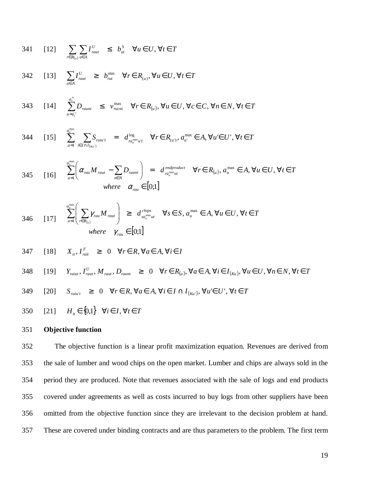341 [12] 
$$
\sum_{r \in R_{(u)}} \sum_{a \in A} I_{raut}^U \leq b_{ut}^S \quad \forall u \in U, \forall t \in T
$$

max

342 [13] 
$$
\sum_{a \in A} I_{\text{raut}}^U \ge b_{\text{rut}}^{\min} \quad \forall r \in R_{(u)}, \forall u \in U, \forall t \in T
$$

343 [14] 
$$
\sum_{a=a_c}^{a_c^+} D_{\text{rannt}} \leq v_{\text{ncnt}}^{\text{max}} \quad \forall r \in R_{(u)}, \forall u \in U, \forall c \in C, \forall n \in N, \forall t \in T
$$

344 [15] 
$$
\sum_{a=1}^{d_u^{\max}} \sum_{i \in I \cap I_{(K_u)}} S_{\text{raiu'}t} = d_{\text{ra}_{u}^{\max}u't}^{\log} \quad \forall r \in R_{(u)}, a_{u'}^{\max} \in A, \forall u \in U', \forall t \in T
$$

345 [16] 
$$
\sum_{a=1}^{a_u^{\text{max}}} \left( \alpha_{\text{rau}} M_{\text{raut}} - \sum_{n \in N} D_{\text{raunt}} \right) = d_{\text{ra}_u^{\text{max}} ut}^{\text{endproduct}} \forall r \in R_{(u)}, a_u^{\text{max}} \in A, \forall u \in U, \forall t \in T
$$
  
where  $\alpha_{\text{rau}} \in [0;1]$ 

346 [17] 
$$
\sum_{a=1}^{a_u^{\max} \left( \sum_{r \in R_{(s)}} \gamma_{rau} M_{raut} \right) \geq d_{sa_u^{\max}ut}^{chips} \quad \forall s \in S, a_u^{\max} \in A, \forall u \in U, \forall t \in T
$$
  
where  $\gamma_{rau} \in [0;1]$ 

347 [18] 
$$
X_{ii}, I_{rait}^F \ge 0 \quad \forall r \in R, \forall a \in A, \forall i \in I
$$

348 [19] 
$$
Y_{\text{raint}}
$$
,  $I_{\text{raut}}^U$ ,  $M_{\text{raut}}$ ,  $D_{\text{raunt}}$   $\geq 0$   $\forall r \in R_{(u)}$ ,  $\forall a \in A$ ,  $\forall i \in I_{(ku)}$ ,  $\forall u \in U$ ,  $\forall n \in N$ ,  $\forall t \in T$ 

349 [20] 
$$
S_{\text{raiu'}t} \geq 0 \quad \forall r \in R, \forall a \in A, \forall i \in I \cap I_{(Ku')}, \forall u' \in U', \forall t \in T
$$

350 [21] 
$$
H_{it} \in \{0,1\} \quad \forall i \in I, \forall t \in T
$$

### 351 **Objective function**

352 The objective function is a linear profit maximization equation. Revenues are derived from 353 the sale of lumber and wood chips on the open market. Lumber and chips are always sold in the 354 period they are produced. Note that revenues associated with the sale of logs and end products 355 covered under agreements as well as costs incurred to buy logs from other suppliers have been 356 omitted from the objective function since they are irrelevant to the decision problem at hand. 357 These are covered under binding contracts and are thus parameters to the problem. The first term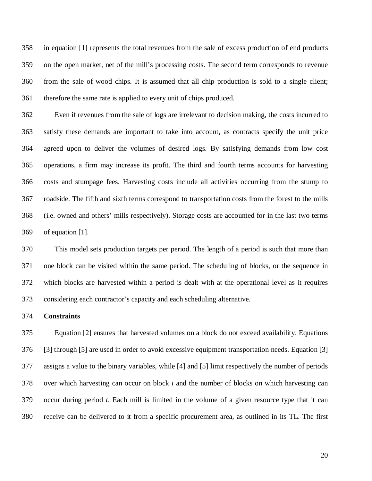358 in equation [1] represents the total revenues from the sale of excess production of end products 359 on the open market, net of the mill's processing costs. The second term corresponds to revenue 360 from the sale of wood chips. It is assumed that all chip production is sold to a single client; 361 therefore the same rate is applied to every unit of chips produced.

362 Even if revenues from the sale of logs are irrelevant to decision making, the costs incurred to 363 satisfy these demands are important to take into account, as contracts specify the unit price 364 agreed upon to deliver the volumes of desired logs. By satisfying demands from low cost 365 operations, a firm may increase its profit. The third and fourth terms accounts for harvesting 366 costs and stumpage fees. Harvesting costs include all activities occurring from the stump to 367 roadside. The fifth and sixth terms correspond to transportation costs from the forest to the mills 368 (i.e. owned and others' mills respectively). Storage costs are accounted for in the last two terms 369 of equation [1].

370 This model sets production targets per period. The length of a period is such that more than 371 one block can be visited within the same period. The scheduling of blocks, or the sequence in 372 which blocks are harvested within a period is dealt with at the operational level as it requires 373 considering each contractor's capacity and each scheduling alternative.

#### 374 **Constraints**

375 Equation [2] ensures that harvested volumes on a block do not exceed availability. Equations 376 [3] through [5] are used in order to avoid excessive equipment transportation needs. Equation [3] 377 assigns a value to the binary variables, while [4] and [5] limit respectively the number of periods 378 over which harvesting can occur on block *i* and the number of blocks on which harvesting can 379 occur during period *t*. Each mill is limited in the volume of a given resource type that it can 380 receive can be delivered to it from a specific procurement area, as outlined in its TL. The first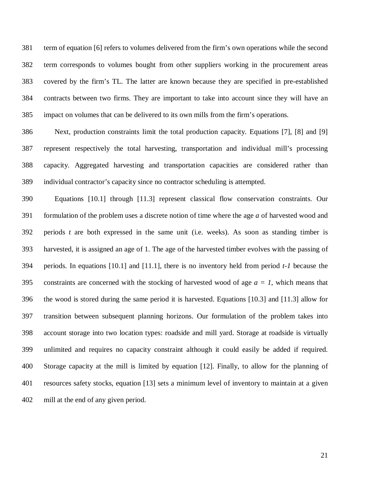381 term of equation [6] refers to volumes delivered from the firm's own operations while the second 382 term corresponds to volumes bought from other suppliers working in the procurement areas 383 covered by the firm's TL. The latter are known because they are specified in pre-established 384 contracts between two firms. They are important to take into account since they will have an 385 impact on volumes that can be delivered to its own mills from the firm's operations.

386 Next, production constraints limit the total production capacity. Equations [7], [8] and [9] 387 represent respectively the total harvesting, transportation and individual mill's processing 388 capacity. Aggregated harvesting and transportation capacities are considered rather than 389 individual contractor's capacity since no contractor scheduling is attempted.

390 Equations [10.1] through [11.3] represent classical flow conservation constraints. Our 391 formulation of the problem uses a discrete notion of time where the age *a* of harvested wood and 392 periods *t* are both expressed in the same unit (i.e. weeks). As soon as standing timber is 393 harvested, it is assigned an age of 1. The age of the harvested timber evolves with the passing of 394 periods. In equations [10.1] and [11.1], there is no inventory held from period *t-1* because the 395 constraints are concerned with the stocking of harvested wood of age  $a = 1$ , which means that 396 the wood is stored during the same period it is harvested. Equations [10.3] and [11.3] allow for 397 transition between subsequent planning horizons. Our formulation of the problem takes into 398 account storage into two location types: roadside and mill yard. Storage at roadside is virtually 399 unlimited and requires no capacity constraint although it could easily be added if required. 400 Storage capacity at the mill is limited by equation [12]. Finally, to allow for the planning of 401 resources safety stocks, equation [13] sets a minimum level of inventory to maintain at a given 402 mill at the end of any given period.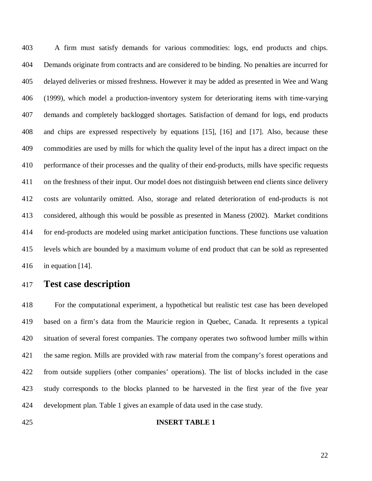403 A firm must satisfy demands for various commodities: logs, end products and chips. 404 Demands originate from contracts and are considered to be binding. No penalties are incurred for 405 delayed deliveries or missed freshness. However it may be added as presented in Wee and Wang 406 (1999), which model a production-inventory system for deteriorating items with time-varying 407 demands and completely backlogged shortages. Satisfaction of demand for logs, end products 408 and chips are expressed respectively by equations [15], [16] and [17]. Also, because these 409 commodities are used by mills for which the quality level of the input has a direct impact on the 410 performance of their processes and the quality of their end-products, mills have specific requests 411 on the freshness of their input. Our model does not distinguish between end clients since delivery 412 costs are voluntarily omitted. Also, storage and related deterioration of end-products is not 413 considered, although this would be possible as presented in Maness (2002). Market conditions 414 for end-products are modeled using market anticipation functions. These functions use valuation 415 levels which are bounded by a maximum volume of end product that can be sold as represented 416 in equation [14].

417 **Test case description** 

418 For the computational experiment, a hypothetical but realistic test case has been developed 419 based on a firm's data from the Mauricie region in Quebec, Canada. It represents a typical 420 situation of several forest companies. The company operates two softwood lumber mills within 421 the same region. Mills are provided with raw material from the company's forest operations and 422 from outside suppliers (other companies' operations). The list of blocks included in the case 423 study corresponds to the blocks planned to be harvested in the first year of the five year 424 development plan. Table 1 gives an example of data used in the case study.

#### 425 **INSERT TABLE 1**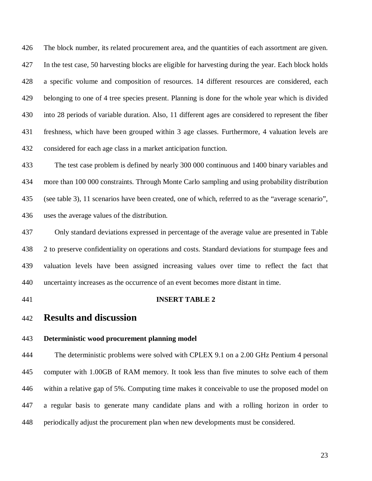426 The block number, its related procurement area, and the quantities of each assortment are given. 427 In the test case, 50 harvesting blocks are eligible for harvesting during the year. Each block holds 428 a specific volume and composition of resources. 14 different resources are considered, each 429 belonging to one of 4 tree species present. Planning is done for the whole year which is divided 430 into 28 periods of variable duration. Also, 11 different ages are considered to represent the fiber 431 freshness, which have been grouped within 3 age classes. Furthermore, 4 valuation levels are 432 considered for each age class in a market anticipation function.

433 The test case problem is defined by nearly 300 000 continuous and 1400 binary variables and 434 more than 100 000 constraints. Through Monte Carlo sampling and using probability distribution 435 (see table 3), 11 scenarios have been created, one of which, referred to as the "average scenario", 436 uses the average values of the distribution.

437 Only standard deviations expressed in percentage of the average value are presented in Table 438 2 to preserve confidentiality on operations and costs. Standard deviations for stumpage fees and 439 valuation levels have been assigned increasing values over time to reflect the fact that 440 uncertainty increases as the occurrence of an event becomes more distant in time.

#### 441 **INSERT TABLE 2**

# 442 **Results and discussion**

## 443 **Deterministic wood procurement planning model**

444 The deterministic problems were solved with CPLEX 9.1 on a 2.00 GHz Pentium 4 personal 445 computer with 1.00GB of RAM memory. It took less than five minutes to solve each of them 446 within a relative gap of 5%. Computing time makes it conceivable to use the proposed model on 447 a regular basis to generate many candidate plans and with a rolling horizon in order to 448 periodically adjust the procurement plan when new developments must be considered.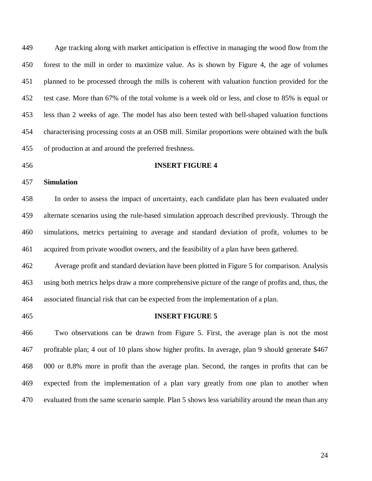449 Age tracking along with market anticipation is effective in managing the wood flow from the 450 forest to the mill in order to maximize value. As is shown by Figure 4, the age of volumes 451 planned to be processed through the mills is coherent with valuation function provided for the 452 test case. More than 67% of the total volume is a week old or less, and close to 85% is equal or 453 less than 2 weeks of age. The model has also been tested with bell-shaped valuation functions 454 characterising processing costs at an OSB mill. Similar proportions were obtained with the bulk 455 of production at and around the preferred freshness.

#### 456 **INSERT FIGURE 4**

## 457 **Simulation**

458 In order to assess the impact of uncertainty, each candidate plan has been evaluated under 459 alternate scenarios using the rule-based simulation approach described previously. Through the 460 simulations, metrics pertaining to average and standard deviation of profit, volumes to be 461 acquired from private woodlot owners, and the feasibility of a plan have been gathered.

462 Average profit and standard deviation have been plotted in Figure 5 for comparison. Analysis 463 using both metrics helps draw a more comprehensive picture of the range of profits and, thus, the 464 associated financial risk that can be expected from the implementation of a plan.

#### 465 **INSERT FIGURE 5**

466 Two observations can be drawn from Figure 5. First, the average plan is not the most 467 profitable plan; 4 out of 10 plans show higher profits. In average, plan 9 should generate \$467 468 000 or 8.8% more in profit than the average plan. Second, the ranges in profits that can be 469 expected from the implementation of a plan vary greatly from one plan to another when 470 evaluated from the same scenario sample. Plan 5 shows less variability around the mean than any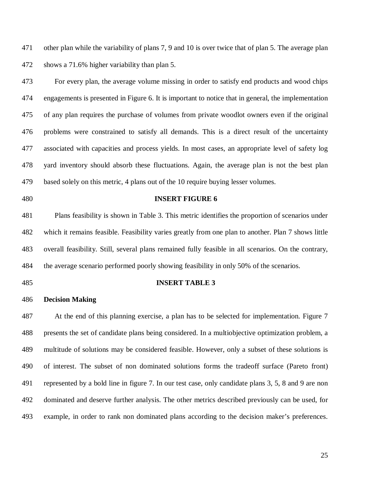471 other plan while the variability of plans 7, 9 and 10 is over twice that of plan 5. The average plan 472 shows a 71.6% higher variability than plan 5.

473 For every plan, the average volume missing in order to satisfy end products and wood chips 474 engagements is presented in Figure 6. It is important to notice that in general, the implementation 475 of any plan requires the purchase of volumes from private woodlot owners even if the original 476 problems were constrained to satisfy all demands. This is a direct result of the uncertainty 477 associated with capacities and process yields. In most cases, an appropriate level of safety log 478 yard inventory should absorb these fluctuations. Again, the average plan is not the best plan 479 based solely on this metric, 4 plans out of the 10 require buying lesser volumes.

#### 480 **INSERT FIGURE 6**

481 Plans feasibility is shown in Table 3. This metric identifies the proportion of scenarios under 482 which it remains feasible. Feasibility varies greatly from one plan to another. Plan 7 shows little 483 overall feasibility. Still, several plans remained fully feasible in all scenarios. On the contrary, 484 the average scenario performed poorly showing feasibility in only 50% of the scenarios.

#### 485 **INSERT TABLE 3**

#### 486 **Decision Making**

487 At the end of this planning exercise, a plan has to be selected for implementation. Figure 7 488 presents the set of candidate plans being considered. In a multiobjective optimization problem, a 489 multitude of solutions may be considered feasible. However, only a subset of these solutions is 490 of interest. The subset of non dominated solutions forms the tradeoff surface (Pareto front) 491 represented by a bold line in figure 7. In our test case, only candidate plans 3, 5, 8 and 9 are non 492 dominated and deserve further analysis. The other metrics described previously can be used, for 493 example, in order to rank non dominated plans according to the decision maker's preferences.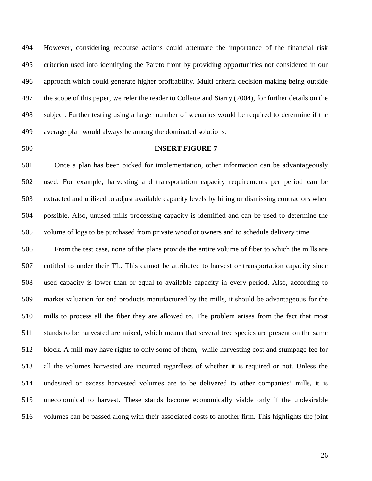494 However, considering recourse actions could attenuate the importance of the financial risk 495 criterion used into identifying the Pareto front by providing opportunities not considered in our 496 approach which could generate higher profitability. Multi criteria decision making being outside 497 the scope of this paper, we refer the reader to Collette and Siarry (2004), for further details on the 498 subject. Further testing using a larger number of scenarios would be required to determine if the 499 average plan would always be among the dominated solutions.

## 500 **INSERT FIGURE 7**

501 Once a plan has been picked for implementation, other information can be advantageously 502 used. For example, harvesting and transportation capacity requirements per period can be 503 extracted and utilized to adjust available capacity levels by hiring or dismissing contractors when 504 possible. Also, unused mills processing capacity is identified and can be used to determine the 505 volume of logs to be purchased from private woodlot owners and to schedule delivery time.

506 From the test case, none of the plans provide the entire volume of fiber to which the mills are 507 entitled to under their TL. This cannot be attributed to harvest or transportation capacity since 508 used capacity is lower than or equal to available capacity in every period. Also, according to 509 market valuation for end products manufactured by the mills, it should be advantageous for the 510 mills to process all the fiber they are allowed to. The problem arises from the fact that most 511 stands to be harvested are mixed, which means that several tree species are present on the same 512 block. A mill may have rights to only some of them, while harvesting cost and stumpage fee for 513 all the volumes harvested are incurred regardless of whether it is required or not. Unless the 514 undesired or excess harvested volumes are to be delivered to other companies' mills, it is 515 uneconomical to harvest. These stands become economically viable only if the undesirable 516 volumes can be passed along with their associated costs to another firm. This highlights the joint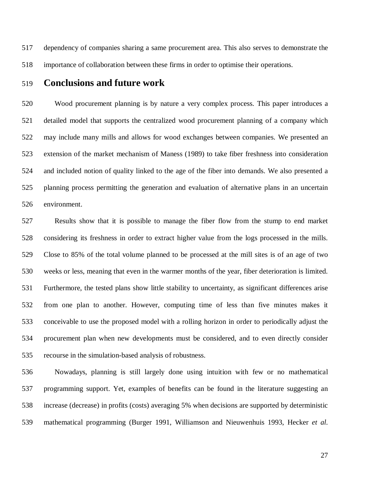517 dependency of companies sharing a same procurement area. This also serves to demonstrate the 518 importance of collaboration between these firms in order to optimise their operations.

# 519 **Conclusions and future work**

520 Wood procurement planning is by nature a very complex process. This paper introduces a 521 detailed model that supports the centralized wood procurement planning of a company which 522 may include many mills and allows for wood exchanges between companies. We presented an 523 extension of the market mechanism of Maness (1989) to take fiber freshness into consideration 524 and included notion of quality linked to the age of the fiber into demands. We also presented a 525 planning process permitting the generation and evaluation of alternative plans in an uncertain 526 environment.

527 Results show that it is possible to manage the fiber flow from the stump to end market 528 considering its freshness in order to extract higher value from the logs processed in the mills. 529 Close to 85% of the total volume planned to be processed at the mill sites is of an age of two 530 weeks or less, meaning that even in the warmer months of the year, fiber deterioration is limited. 531 Furthermore, the tested plans show little stability to uncertainty, as significant differences arise 532 from one plan to another. However, computing time of less than five minutes makes it 533 conceivable to use the proposed model with a rolling horizon in order to periodically adjust the 534 procurement plan when new developments must be considered, and to even directly consider 535 recourse in the simulation-based analysis of robustness.

536 Nowadays, planning is still largely done using intuition with few or no mathematical 537 programming support. Yet, examples of benefits can be found in the literature suggesting an 538 increase (decrease) in profits (costs) averaging 5% when decisions are supported by deterministic 539 mathematical programming (Burger 1991, Williamson and Nieuwenhuis 1993, Hecker *et al.*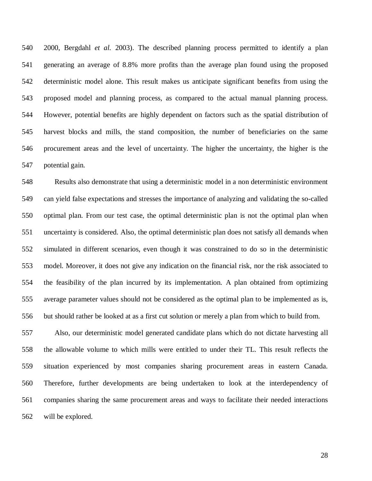540 2000, Bergdahl *et al.* 2003). The described planning process permitted to identify a plan 541 generating an average of 8.8% more profits than the average plan found using the proposed 542 deterministic model alone. This result makes us anticipate significant benefits from using the 543 proposed model and planning process, as compared to the actual manual planning process. 544 However, potential benefits are highly dependent on factors such as the spatial distribution of 545 harvest blocks and mills, the stand composition, the number of beneficiaries on the same 546 procurement areas and the level of uncertainty. The higher the uncertainty, the higher is the 547 potential gain.

548 Results also demonstrate that using a deterministic model in a non deterministic environment 549 can yield false expectations and stresses the importance of analyzing and validating the so-called 550 optimal plan. From our test case, the optimal deterministic plan is not the optimal plan when 551 uncertainty is considered. Also, the optimal deterministic plan does not satisfy all demands when 552 simulated in different scenarios, even though it was constrained to do so in the deterministic 553 model. Moreover, it does not give any indication on the financial risk, nor the risk associated to 554 the feasibility of the plan incurred by its implementation. A plan obtained from optimizing 555 average parameter values should not be considered as the optimal plan to be implemented as is, 556 but should rather be looked at as a first cut solution or merely a plan from which to build from.

557 Also, our deterministic model generated candidate plans which do not dictate harvesting all 558 the allowable volume to which mills were entitled to under their TL. This result reflects the 559 situation experienced by most companies sharing procurement areas in eastern Canada. 560 Therefore, further developments are being undertaken to look at the interdependency of 561 companies sharing the same procurement areas and ways to facilitate their needed interactions 562 will be explored.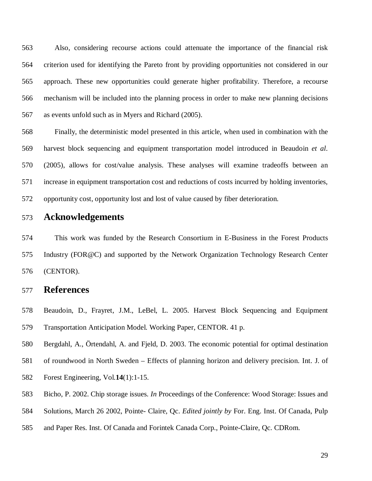563 Also, considering recourse actions could attenuate the importance of the financial risk 564 criterion used for identifying the Pareto front by providing opportunities not considered in our 565 approach. These new opportunities could generate higher profitability. Therefore, a recourse 566 mechanism will be included into the planning process in order to make new planning decisions 567 as events unfold such as in Myers and Richard (2005).

568 Finally, the deterministic model presented in this article, when used in combination with the 569 harvest block sequencing and equipment transportation model introduced in Beaudoin *et al*. 570 (2005), allows for cost/value analysis. These analyses will examine tradeoffs between an 571 increase in equipment transportation cost and reductions of costs incurred by holding inventories, 572 opportunity cost, opportunity lost and lost of value caused by fiber deterioration.

# 573 **Acknowledgements**

574 This work was funded by the Research Consortium in E-Business in the Forest Products 575 Industry (FOR@C) and supported by the Network Organization Technology Research Center 576 (CENTOR).

# 577 **References**

- 578 Beaudoin, D., Frayret, J.M., LeBel, L. 2005. Harvest Block Sequencing and Equipment 579 Transportation Anticipation Model. Working Paper, CENTOR. 41 p.
- 580 Bergdahl, A., Örtendahl, A. and Fjeld, D. 2003. The economic potential for optimal destination
- 581 of roundwood in North Sweden Effects of planning horizon and delivery precision. Int. J. of
- 582 Forest Engineering, Vol.**14**(1):1-15.
- 583 Bicho, P. 2002. Chip storage issues. *In* Proceedings of the Conference: Wood Storage: Issues and
- 584 Solutions, March 26 2002, Pointe- Claire, Qc. *Edited jointly by* For. Eng. Inst. Of Canada, Pulp
- 585 and Paper Res. Inst. Of Canada and Forintek Canada Corp., Pointe-Claire, Qc. CDRom.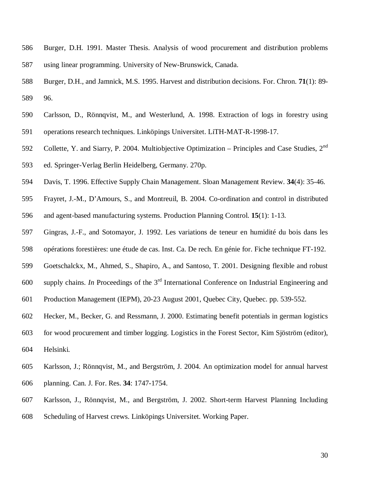- 586 Burger, D.H. 1991. Master Thesis. Analysis of wood procurement and distribution problems 587 using linear programming. University of New-Brunswick, Canada.
- 588 Burger, D.H., and Jamnick, M.S. 1995. Harvest and distribution decisions. For. Chron. **71**(1): 89- 589 96.
- 590 Carlsson, D., Rönnqvist, M., and Westerlund, A. 1998. Extraction of logs in forestry using
- 591 operations research techniques. Linköpings Universitet. LiTH-MAT-R-1998-17.
- 592 Collette, Y. and Siarry, P. 2004. Multiobjective Optimization Principles and Case Studies, 2<sup>nd</sup> 593 ed. Springer-Verlag Berlin Heidelberg, Germany. 270p.
- 594 Davis, T. 1996. Effective Supply Chain Management. Sloan Management Review. **34**(4): 35-46.
- 595 Frayret, J.-M., D'Amours, S., and Montreuil, B. 2004. Co-ordination and control in distributed 596 and agent-based manufacturing systems. Production Planning Control. **15**(1): 1-13.
- 597 Gingras, J.-F., and Sotomayor, J. 1992. Les variations de teneur en humidité du bois dans les
- 598 opérations forestières: une étude de cas. Inst. Ca. De rech. En génie for. Fiche technique FT-192.
- 599 Goetschalckx, M., Ahmed, S., Shapiro, A., and Santoso, T. 2001. Designing flexible and robust
- 600 supply chains. *In* Proceedings of the  $3<sup>rd</sup>$  International Conference on Industrial Engineering and
- 601 Production Management (IEPM), 20-23 August 2001, Quebec City, Quebec. pp. 539-552.
- 602 Hecker, M., Becker, G. and Ressmann, J. 2000. Estimating benefit potentials in german logistics
- 603 for wood procurement and timber logging. Logistics in the Forest Sector, Kim Sjöström (editor), 604 Helsinki.
- 605 Karlsson, J.; Rönnqvist, M., and Bergström, J. 2004. An optimization model for annual harvest 606 planning. Can. J. For. Res. **34**: 1747-1754.
- 607 Karlsson, J., Rönnqvist, M., and Bergström, J. 2002. Short-term Harvest Planning Including
- 608 Scheduling of Harvest crews. Linköpings Universitet. Working Paper.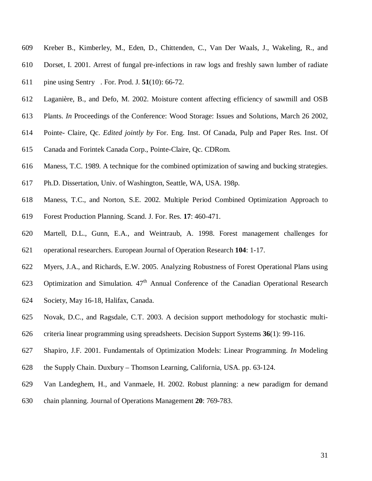- 609 Kreber B., Kimberley, M., Eden, D., Chittenden, C., Van Der Waals, J., Wakeling, R., and
- 610 Dorset, I. 2001. Arrest of fungal pre-infections in raw logs and freshly sawn lumber of radiate
- 611 pine using Sentry. For. Prod. J. **51**(10): 66-72.
- 612 Laganière, B., and Defo, M. 2002. Moisture content affecting efficiency of sawmill and OSB
- 613 Plants. *In* Proceedings of the Conference: Wood Storage: Issues and Solutions, March 26 2002,
- 614 Pointe- Claire, Qc. *Edited jointly by* For. Eng. Inst. Of Canada, Pulp and Paper Res. Inst. Of
- 615 Canada and Forintek Canada Corp., Pointe-Claire, Qc. CDRom.
- 616 Maness, T.C. 1989. A technique for the combined optimization of sawing and bucking strategies.
- 617 Ph.D. Dissertation, Univ. of Washington, Seattle, WA, USA. 198p.
- 618 Maness, T.C., and Norton, S.E. 2002. Multiple Period Combined Optimization Approach to
- 619 Forest Production Planning. Scand. J. For. Res. **17**: 460-471.
- 620 Martell, D.L., Gunn, E.A., and Weintraub, A. 1998. Forest management challenges for 621 operational researchers. European Journal of Operation Research **104**: 1-17.
- 622 Myers, J.A., and Richards, E.W. 2005. Analyzing Robustness of Forest Operational Plans using
- 623 Optimization and Simulation.  $47<sup>th</sup>$  Annual Conference of the Canadian Operational Research
- 624 Society, May 16-18, Halifax, Canada.
- 625 Novak, D.C., and Ragsdale, C.T. 2003. A decision support methodology for stochastic multi-
- 626 criteria linear programming using spreadsheets. Decision Support Systems **36**(1): 99-116.
- 627 Shapiro, J.F. 2001. Fundamentals of Optimization Models: Linear Programming. *In* Modeling
- 628 the Supply Chain. Duxbury Thomson Learning, California, USA. pp. 63-124.
- 629 Van Landeghem, H., and Vanmaele, H. 2002. Robust planning: a new paradigm for demand
- 630 chain planning. Journal of Operations Management **20**: 769-783.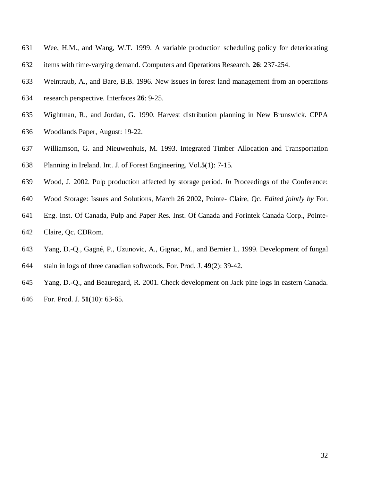- 631 Wee, H.M., and Wang, W.T. 1999. A variable production scheduling policy for deteriorating 632 items with time-varying demand. Computers and Operations Research. **26**: 237-254.
- 
- 633 Weintraub, A., and Bare, B.B. 1996. New issues in forest land management from an operations
- 634 research perspective. Interfaces **26**: 9-25.
- 635 Wightman, R., and Jordan, G. 1990. Harvest distribution planning in New Brunswick. CPPA
- 636 Woodlands Paper, August: 19-22.
- 637 Williamson, G. and Nieuwenhuis, M. 1993. Integrated Timber Allocation and Transportation
- 638 Planning in Ireland. Int. J. of Forest Engineering, Vol.**5**(1): 7-15.
- 639 Wood, J. 2002. Pulp production affected by storage period. *In* Proceedings of the Conference:
- 640 Wood Storage: Issues and Solutions, March 26 2002, Pointe- Claire, Qc. *Edited jointly by* For.
- 641 Eng. Inst. Of Canada, Pulp and Paper Res. Inst. Of Canada and Forintek Canada Corp., Pointe-642 Claire, Qc. CDRom.
- 643 Yang, D.-Q., Gagné, P., Uzunovic, A., Gignac, M., and Bernier L. 1999. Development of fungal
- 644 stain in logs of three canadian softwoods. For. Prod. J. **49**(2): 39-42.
- 645 Yang, D.-Q., and Beauregard, R. 2001. Check development on Jack pine logs in eastern Canada. 646 For. Prod. J. **51**(10): 63-65.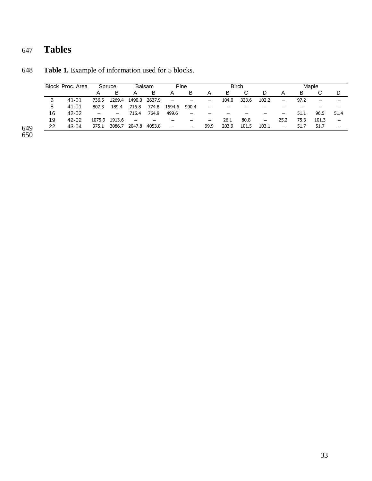# 647 **Tables**

| Block Proc. Area |           | Spruce |        | <b>Balsam</b>            |        | Pine                     |       | <b>Birch</b>             |       |       |                   | Maple    |      |                          |                              |
|------------------|-----------|--------|--------|--------------------------|--------|--------------------------|-------|--------------------------|-------|-------|-------------------|----------|------|--------------------------|------------------------------|
|                  |           |        | B      | Α                        | B      | Α                        | B     | Α                        | B     | C     | D                 | A        | B    |                          | D                            |
| 6                | 41-01     | 736.5  | 1269.4 | 1490.0                   | 2637.9 | $\overline{\phantom{m}}$ |       | $\overline{\phantom{0}}$ | 104.0 | 323.6 | 102.2             | $\equiv$ | 97.2 | $\overline{\phantom{0}}$ | $\qquad \qquad \blacksquare$ |
| 8                | 41-01     | 807.3  | 189.4  | 716.8                    | 774.8  | 1594.6                   | 990.4 | $\overline{\phantom{0}}$ |       |       |                   |          |      |                          |                              |
| 16               | 42-02     |        | -      | 716.4                    | 764.9  | 499.6                    |       |                          |       |       |                   |          | 51.1 | 96.5                     | 51.4                         |
| 19               | $42 - 02$ | 1075.9 | 1913.6 | $\overline{\phantom{0}}$ |        |                          |       | -                        | 26.1  | 80.8  | $\qquad \qquad -$ | 25.2     | 75.3 | 101.3                    | $\overline{\phantom{0}}$     |
| 22               | $43-04$   | 975.1  | 3086.7 | 2047.8                   | 4053.8 | $\overline{\phantom{0}}$ |       | 99.9                     | 203.9 | 101.5 | 103.1             |          | 51.7 | 51.7                     |                              |

648 **Table 1.** Example of information used for 5 blocks.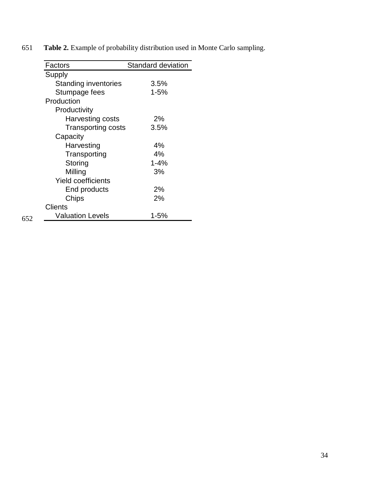| Factors                        | Standard deviation |
|--------------------------------|--------------------|
| Supply                         |                    |
| <b>Standing inventories</b>    | 3.5%               |
| Stumpage fees                  | $1 - 5%$           |
| Production                     |                    |
| Productivity                   |                    |
| Harvesting costs               | 2%                 |
| <b>Transporting costs</b>      | 3.5%               |
| Capacity                       |                    |
| Harvesting                     | 4%                 |
| Transporting                   | 4%                 |
| Storing                        | $1 - 4%$           |
| Milling                        | 3%                 |
| <b>Yield coefficients</b>      |                    |
| End products                   | 2%                 |
| Chips                          | 2%                 |
| <b>Clients</b>                 |                    |
| <b>Valuation Levels</b><br>652 | 1-5%               |

651 **Table 2.** Example of probability distribution used in Monte Carlo sampling.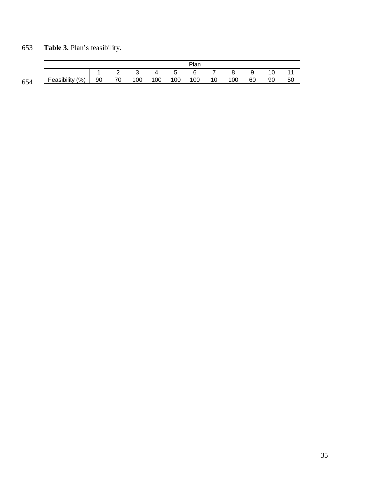|     |                     | יan |    |     |     |     |     |    |     |    |    |    |
|-----|---------------------|-----|----|-----|-----|-----|-----|----|-----|----|----|----|
|     |                     |     |    |     |     | 5   | 6   |    |     | a  | 10 |    |
| 654 | (% )<br>Feasibility | 90  | 70 | 100 | 100 | 100 | 100 | 10 | 100 | 60 | 90 | 50 |

# 653 **Table 3.** Plan's feasibility.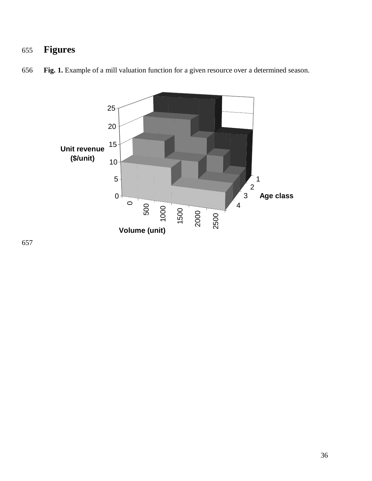# **Figures**



**Fig. 1.** Example of a mill valuation function for a given resource over a determined season.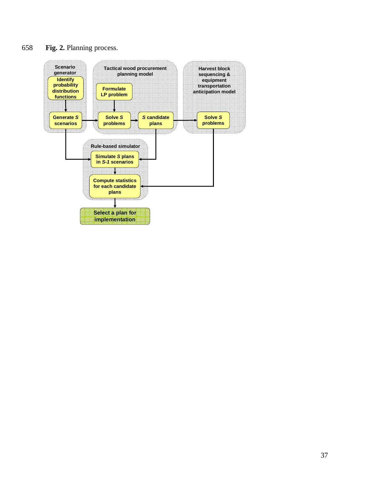# 658 **Fig. 2.** Planning process.

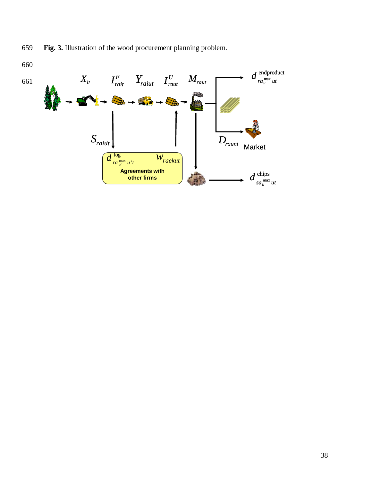659 **Fig. 3.** Illustration of the wood procurement planning problem.

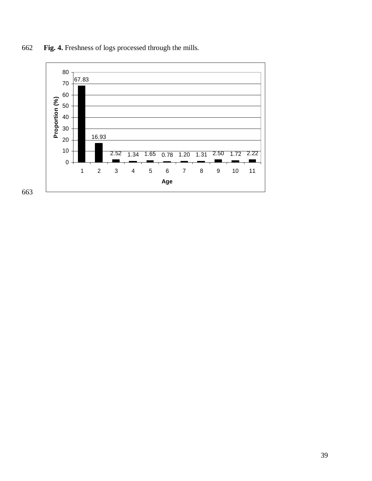

**Fig. 4.** Freshness of logs processed through the mills.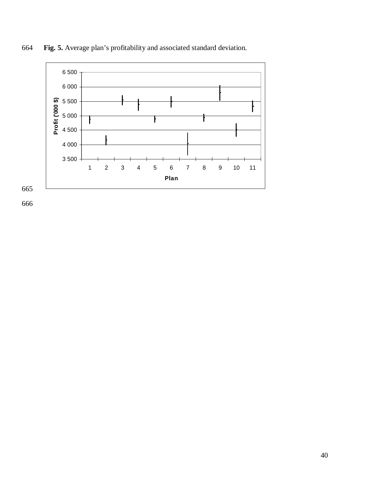

664 **Fig. 5.** Average plan's profitability and associated standard deviation.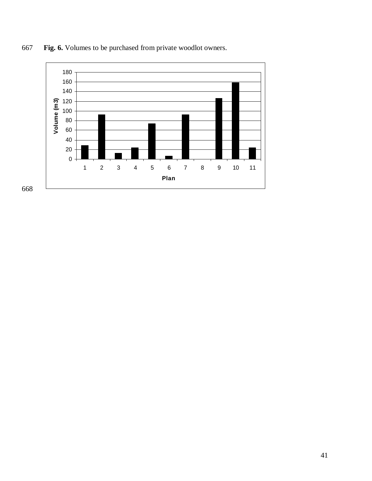

**Fig. 6.** Volumes to be purchased from private woodlot owners.